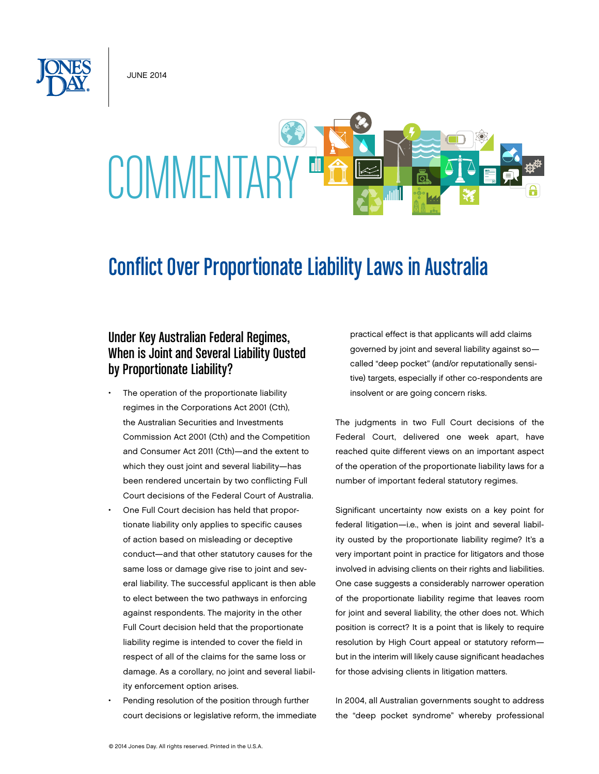June 2014



## Conflict Over Proportionate Liability Laws in Australia

## Under Key Australian Federal Regimes, When is Joint and Several Liability Ousted by Proportionate Liability?

- The operation of the proportionate liability regimes in the Corporations Act 2001 (Cth), the Australian Securities and Investments Commission Act 2001 (Cth) and the Competition and Consumer Act 2011 (Cth)—and the extent to which they oust joint and several liability—has been rendered uncertain by two conflicting Full Court decisions of the Federal Court of Australia.
- One Full Court decision has held that proportionate liability only applies to specific causes of action based on misleading or deceptive conduct—and that other statutory causes for the same loss or damage give rise to joint and several liability. The successful applicant is then able to elect between the two pathways in enforcing against respondents. The majority in the other Full Court decision held that the proportionate liability regime is intended to cover the field in respect of all of the claims for the same loss or damage. As a corollary, no joint and several liability enforcement option arises.
- Pending resolution of the position through further court decisions or legislative reform, the immediate

practical effect is that applicants will add claims governed by joint and several liability against so called "deep pocket" (and/or reputationally sensitive) targets, especially if other co-respondents are insolvent or are going concern risks.

The judgments in two Full Court decisions of the Federal Court, delivered one week apart, have reached quite different views on an important aspect of the operation of the proportionate liability laws for a number of important federal statutory regimes.

Significant uncertainty now exists on a key point for federal litigation—i.e., when is joint and several liability ousted by the proportionate liability regime? It's a very important point in practice for litigators and those involved in advising clients on their rights and liabilities. One case suggests a considerably narrower operation of the proportionate liability regime that leaves room for joint and several liability, the other does not. Which position is correct? It is a point that is likely to require resolution by High Court appeal or statutory reform but in the interim will likely cause significant headaches for those advising clients in litigation matters.

In 2004, all Australian governments sought to address the "deep pocket syndrome" whereby professional